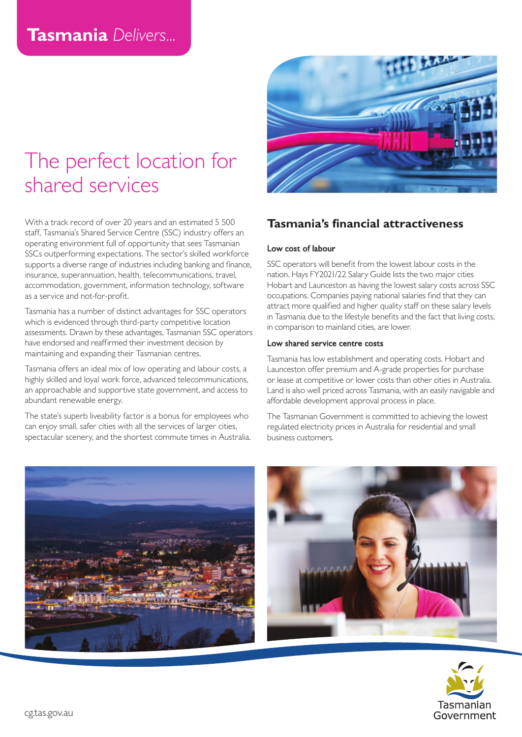# The perfect location for shared services

With a track record of over 20 years and an estimated 5 500 staff, Tasmania's Shared Service Centre (SSC) industry offers an operating environment full of opportunity that sees Tasmanian SSCs outperforming expectations. The sector's skilled workforce supports a diverse range of industries including banking and finance, insurance, superannuation, health, telecommunications, travel, accommodation, government, information technology, software as a service and not-for-profit.

Tasmania has a number of distinct advantages for SSC operators which is evidenced through third-party competitive location assessments. Drawn by these advantages, Tasmanian SSC operators have endorsed and reaffirmed their investment decision by maintaining and expanding their Tasmanian centres.

Tasmania offers an ideal mix of low operating and labour costs, a highly skilled and loyal work force, advanced telecommunications, an approachable and supportive state government, and access to abundant renewable energy.

The state's superb liveability factor is a bonus for employees who can enjoy small, safer cities with all the services of larger cities, spectacular scenery, and the shortest commute times in Australia.



# **Tasmania's fnancial attractiveness**

# Low cost of labour

SSC operators will benefit from the lowest labour costs in the nation. Hays FY2021/22 Salary Guide lists the two major cities Hobart and Launceston as having the lowest salary costs across SSC occupations. Companies paying national salaries find that they can attract more qualified and higher quality staff on these salary levels in Tasmania due to the lifestyle benefits and the fact that living costs, in comparison to mainland cities, are lower.

## Low shared service centre costs

Tasmania has low establishment and operating costs. Hobart and Launceston offer premium and A-grade properties for purchase or lease at competitive or lower costs than other cities in Australia. Land is also well priced across Tasmania, with an easily navigable and affordable development approval process in place.

The Tasmanian Government is committed to achieving the lowest regulated electricity prices in Australia for residential and small business customers.







-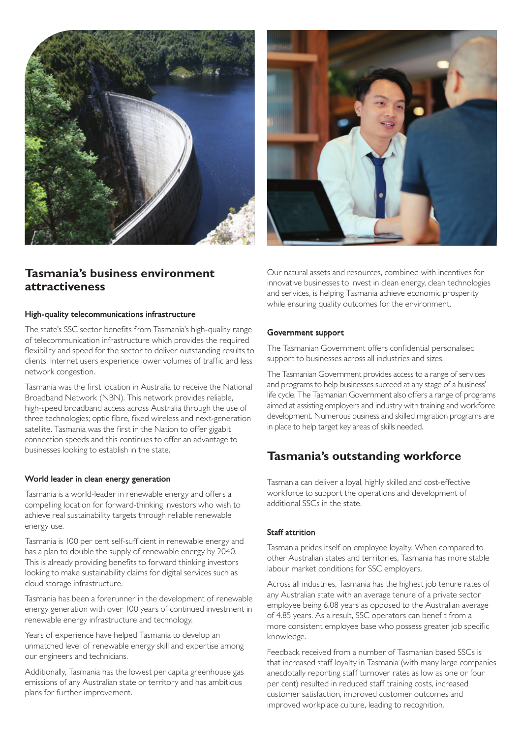



# **Tasmania's business environment attractiveness**

### High-quality telecommunications infrastructure

The state's SSC sector benefits from Tasmania's high-quality range of telecommunication infrastructure which provides the required flexibility and speed for the sector to deliver outstanding results to clients. Internet users experience lower volumes of traffic and less network congestion.

Tasmania was the first location in Australia to receive the National Broadband Network (NBN). This network provides reliable, high-speed broadband access across Australia through the use of three technologies; optic fibre, fixed wireless and next-generation satellite. Tasmania was the first in the Nation to offer gigabit connection speeds and this continues to offer an advantage to businesses looking to establish in the state.

### World leader in clean energy generation

Tasmania is a world-leader in renewable energy and offers a compelling location for forward-thinking investors who wish to achieve real sustainability targets through reliable renewable energy use.

Tasmania is 100 per cent self-sufficient in renewable energy and has a plan to double the supply of renewable energy by 2040. This is already providing benefits to forward thinking investors looking to make sustainability claims for digital services such as cloud storage infrastructure.

Tasmania has been a forerunner in the development of renewable energy generation with over 100 years of continued investment in renewable energy infrastructure and technology.

Years of experience have helped Tasmania to develop an unmatched level of renewable energy skill and expertise among our engineers and technicians.

Additionally, Tasmania has the lowest per capita greenhouse gas emissions of any Australian state or territory and has ambitious plans for further improvement.

Our natural assets and resources, combined with incentives for innovative businesses to invest in clean energy, clean technologies and services, is helping Tasmania achieve economic prosperity while ensuring quality outcomes for the environment.

#### Government support support

The Tasmanian Government offers confidential personalised support to businesses across all industries and sizes.

The Tasmanian Government provides access to a range of services and programs to help businesses succeed at any stage of a business' life cycle, The Tasmanian Government also offers a range of programs aimed at assisting employers and industry with training and workforce development. Numerous business and skilled migration programs are in place to help target key areas of skills needed.

# **Tasmania's outstanding workforce**

Tasmania can deliver a loyal, highly skilled and cost-effective workforce to support the operations and development of additional SSCs in the state.

#### Staff attrition

Tasmania prides itself on employee loyalty. When compared to other Australian states and territories, Tasmania has more stable labour market conditions for SSC employers.

Across all industries, Tasmania has the highest job tenure rates of any Australian state with an average tenure of a private sector employee being 6.08 years as opposed to the Australian average of 4.85 years. As a result, SSC operators can benefit from a more consistent employee base who possess greater job specific knowledge.

Feedback received from a number of Tasmanian based SSCs is that increased staff loyalty in Tasmania (with many large companies anecdotally reporting staff turnover rates as low as one or four per cent) resulted in reduced staff training costs, increased customer satisfaction, improved customer outcomes and improved workplace culture, leading to recognition.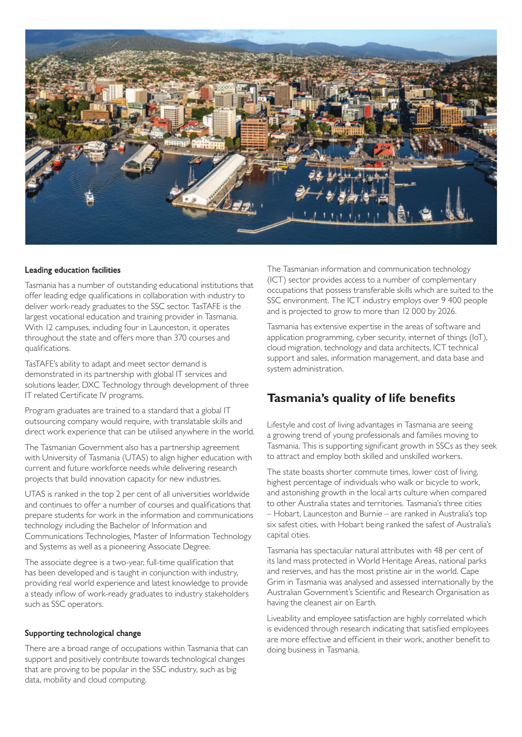

### Leading education facilities facilities

Tasmania has a number of outstanding educational institutions that offer leading edge qualifications in collaboration with industry to deliver work-ready graduates to the SSC sector. TasTAFE is the largest vocational education and training provider in Tasmania. With 12 campuses, including four in Launceston, it operates throughout the state and offers more than 370 courses and qualifications.

TasTAFE's ability to adapt and meet sector demand is demonstrated in its partnership with global IT services and solutions leader, DXC Technology through development of three IT related Certificate IV programs.

Program graduates are trained to a standard that a global IT outsourcing company would require, with translatable skills and direct work experience that can be utilised anywhere in the world.

The Tasmanian Government also has a partnership agreement with University of Tasmania (UTAS) to align higher education with current and future workforce needs while delivering research projects that build innovation capacity for new industries.

UTAS is ranked in the top 2 per cent of all universities worldwide and continues to offer a number of courses and qualifications that prepare students for work in the information and communications technology including the Bachelor of Information and Communications Technologies, Master of Information Technology and Systems as well as a pioneering Associate Degree.

The associate degree is a two-year, full-time qualification that has been developed and is taught in conjunction with industry, providing real world experience and latest knowledge to provide a steady inflow of work-ready graduates to industry stakeholders such as SSC operators.

### Supporting technological change

There are a broad range of occupations within Tasmania that can support and positively contribute towards technological changes that are proving to be popular in the SSC industry, such as big data, mobility and cloud computing.

The Tasmanian information and communication technology (ICT) sector provides access to a number of complementary occupations that possess transferable skills which are suited to the SSC environment. The ICT industry employs over 9 400 people and is projected to grow to more than 12 000 by 2026.

Tasmania has extensive expertise in the areas of software and application programming, cyber security, internet of things (IoT), cloud migration, technology and data architects, ICT technical support and sales, information management, and data base and system administration.

# **Tasmania's quality of life benefits**

Lifestyle and cost of living advantages in Tasmania are seeing a growing trend of young professionals and families moving to Tasmania. This is supporting significant growth in SSCs as they seek to attract and employ both skilled and unskilled workers.

The state boasts shorter commute times, lower cost of living, highest percentage of individuals who walk or bicycle to work, and astonishing growth in the local arts culture when compared to other Australia states and territories. Tasmania's three cities – Hobart, Launceston and Burnie – are ranked in Australia's top six safest cities, with Hobart being ranked the safest of Australia's capital cities.

Tasmania has spectacular natural attributes with 48 per cent of its land mass protected in World Heritage Areas, national parks and reserves, and has the most pristine air in the world. Cape Grim in Tasmania was analysed and assessed internationally by the Australian Government's Scientific and Research Organisation as having the cleanest air on Earth.

Liveability and employee satisfaction are highly correlated which is evidenced through research indicating that satisfied employees are more effective and efficient in their work, another benefit to doing business in Tasmania.